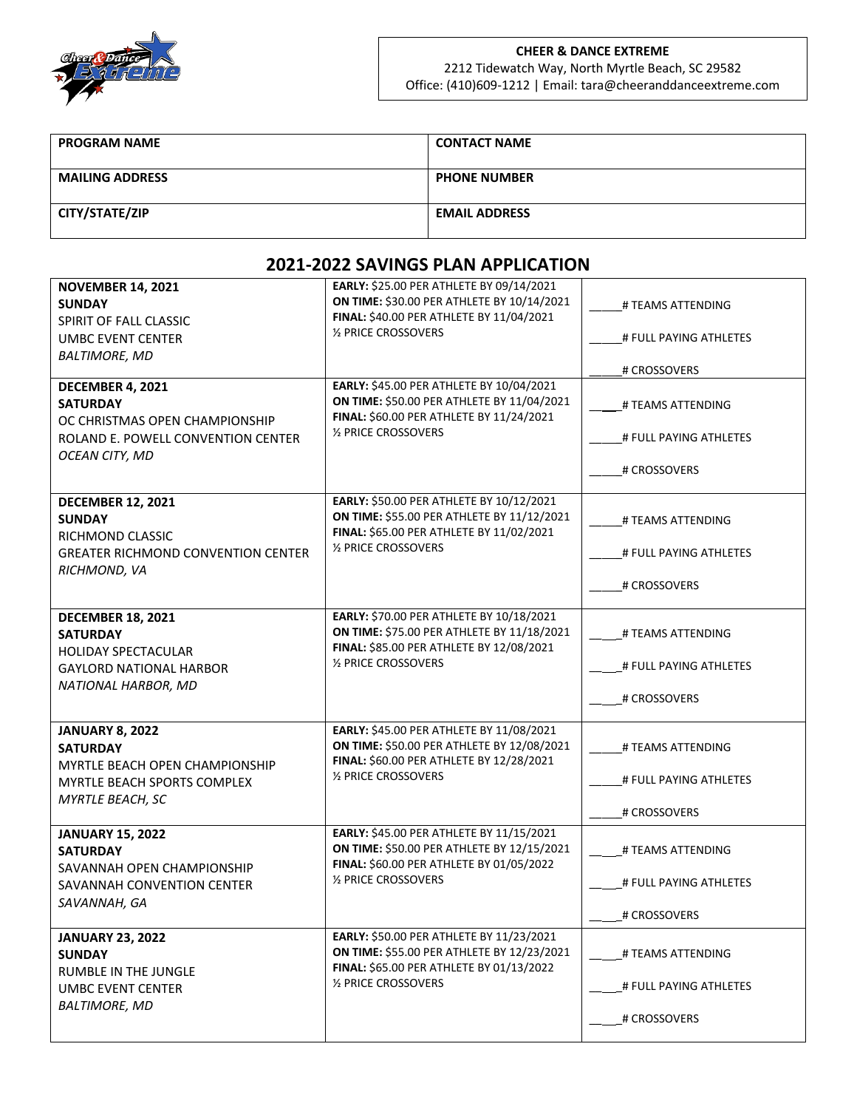

## **CHEER & DANCE EXTREME** 2212 Tidewatch Way, North Myrtle Beach, SC 29582

Office: (410)609-1212 | Email: tara@cheeranddanceextreme.com

| <b>PROGRAM NAME</b>    | <b>CONTACT NAME</b>  |
|------------------------|----------------------|
| <b>MAILING ADDRESS</b> | <b>PHONE NUMBER</b>  |
| CITY/STATE/ZIP         | <b>EMAIL ADDRESS</b> |

## **2021-2022 SAVINGS PLAN APPLICATION**

| <b>NOVEMBER 14, 2021</b><br><b>SUNDAY</b><br>SPIRIT OF FALL CLASSIC<br><b>UMBC EVENT CENTER</b><br><b>BALTIMORE, MD</b><br>DECEMBER 4, 2021<br><b>SATURDAY</b><br>OC CHRISTMAS OPEN CHAMPIONSHIP<br>ROLAND E. POWELL CONVENTION CENTER<br>OCEAN CITY, MD | EARLY: \$25.00 PER ATHLETE BY 09/14/2021<br>ON TIME: \$30.00 PER ATHLETE BY 10/14/2021<br>FINAL: \$40.00 PER ATHLETE BY 11/04/2021<br>1/2 PRICE CROSSOVERS<br>EARLY: \$45.00 PER ATHLETE BY 10/04/2021<br>ON TIME: \$50.00 PER ATHLETE BY 11/04/2021<br>FINAL: \$60.00 PER ATHLETE BY 11/24/2021<br>1/2 PRICE CROSSOVERS | # TEAMS ATTENDING<br># FULL PAYING ATHLETES<br># CROSSOVERS<br># TEAMS ATTENDING<br># FULL PAYING ATHLETES<br># CROSSOVERS |
|----------------------------------------------------------------------------------------------------------------------------------------------------------------------------------------------------------------------------------------------------------|--------------------------------------------------------------------------------------------------------------------------------------------------------------------------------------------------------------------------------------------------------------------------------------------------------------------------|----------------------------------------------------------------------------------------------------------------------------|
| <b>DECEMBER 12, 2021</b><br><b>SUNDAY</b><br>RICHMOND CLASSIC<br><b>GREATER RICHMOND CONVENTION CENTER</b><br>RICHMOND, VA                                                                                                                               | EARLY: \$50.00 PER ATHLETE BY 10/12/2021<br>ON TIME: \$55.00 PER ATHLETE BY 11/12/2021<br>FINAL: \$65.00 PER ATHLETE BY 11/02/2021<br>1/2 PRICE CROSSOVERS                                                                                                                                                               | # TEAMS ATTENDING<br># FULL PAYING ATHLETES<br># CROSSOVERS                                                                |
| <b>DECEMBER 18, 2021</b><br><b>SATURDAY</b><br><b>HOLIDAY SPECTACULAR</b><br><b>GAYLORD NATIONAL HARBOR</b><br>NATIONAL HARBOR, MD                                                                                                                       | EARLY: \$70.00 PER ATHLETE BY 10/18/2021<br>ON TIME: \$75.00 PER ATHLETE BY 11/18/2021<br>FINAL: \$85.00 PER ATHLETE BY 12/08/2021<br>1/2 PRICE CROSSOVERS                                                                                                                                                               | # TEAMS ATTENDING<br># FULL PAYING ATHLETES<br># CROSSOVERS                                                                |
| <b>JANUARY 8, 2022</b><br><b>SATURDAY</b><br>MYRTLE BEACH OPEN CHAMPIONSHIP<br><b>MYRTLE BEACH SPORTS COMPLEX</b><br>MYRTLE BEACH, SC                                                                                                                    | EARLY: \$45.00 PER ATHLETE BY 11/08/2021<br>ON TIME: \$50.00 PER ATHLETE BY 12/08/2021<br>FINAL: \$60.00 PER ATHLETE BY 12/28/2021<br>1/2 PRICE CROSSOVERS                                                                                                                                                               | # TEAMS ATTENDING<br># FULL PAYING ATHLETES<br># CROSSOVERS                                                                |
| <b>JANUARY 15, 2022</b><br><b>SATURDAY</b><br>SAVANNAH OPEN CHAMPIONSHIP<br>SAVANNAH CONVENTION CENTER<br>SAVANNAH, GA                                                                                                                                   | EARLY: \$45.00 PER ATHLETE BY 11/15/2021<br>ON TIME: \$50.00 PER ATHLETE BY 12/15/2021<br>FINAL: \$60.00 PER ATHLETE BY 01/05/2022<br>1/2 PRICE CROSSOVERS                                                                                                                                                               | # TEAMS ATTENDING<br># FULL PAYING ATHLETES<br># CROSSOVERS                                                                |
| <b>JANUARY 23, 2022</b><br><b>SUNDAY</b><br>RUMBLE IN THE JUNGLE<br><b>UMBC EVENT CENTER</b><br><b>BALTIMORE, MD</b>                                                                                                                                     | EARLY: \$50.00 PER ATHLETE BY 11/23/2021<br>ON TIME: \$55.00 PER ATHLETE BY 12/23/2021<br>FINAL: \$65.00 PER ATHLETE BY 01/13/2022<br>1/2 PRICE CROSSOVERS                                                                                                                                                               | # TEAMS ATTENDING<br># FULL PAYING ATHLETES<br># CROSSOVERS                                                                |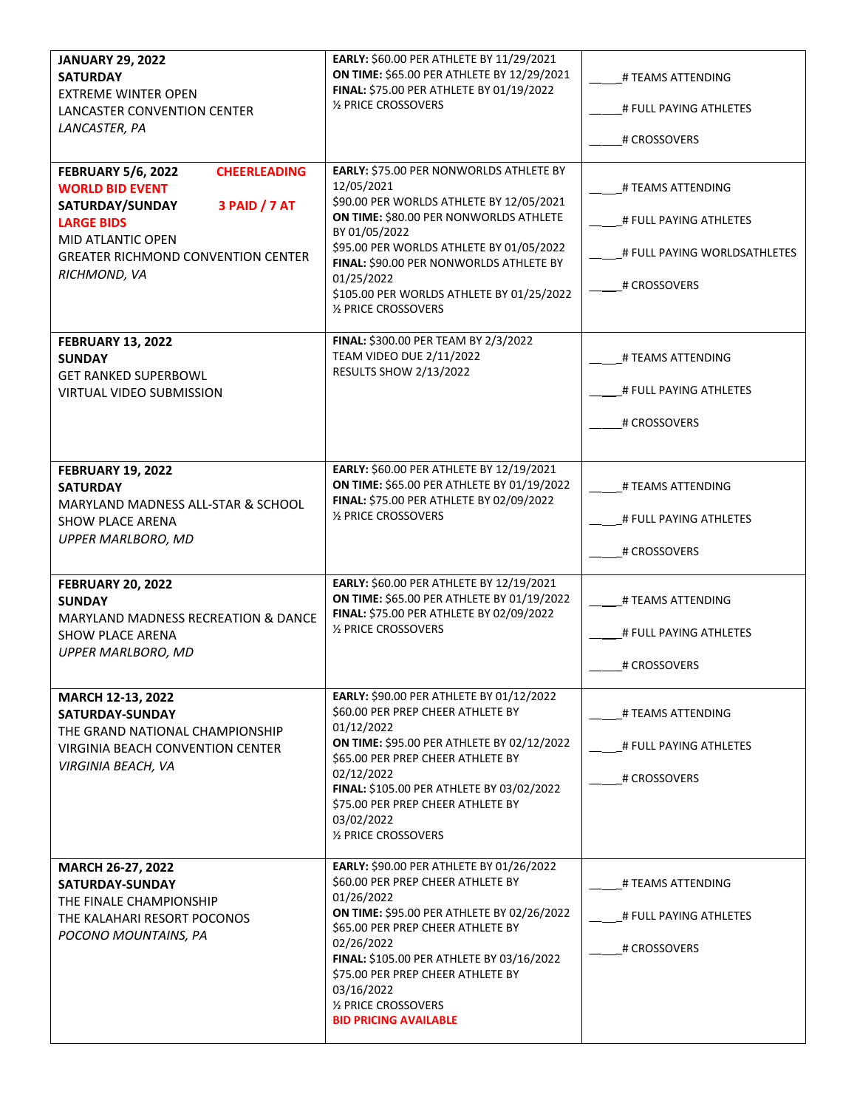| <b>JANUARY 29, 2022</b><br><b>SATURDAY</b><br><b>EXTREME WINTER OPEN</b><br>LANCASTER CONVENTION CENTER<br>LANCASTER, PA                                                                                                     | EARLY: \$60.00 PER ATHLETE BY 11/29/2021<br>ON TIME: \$65.00 PER ATHLETE BY 12/29/2021<br>FINAL: \$75.00 PER ATHLETE BY 01/19/2022<br>1/2 PRICE CROSSOVERS                                                                                                                                                                                                  | # TEAMS ATTENDING<br># FULL PAYING ATHLETES<br># CROSSOVERS                                 |
|------------------------------------------------------------------------------------------------------------------------------------------------------------------------------------------------------------------------------|-------------------------------------------------------------------------------------------------------------------------------------------------------------------------------------------------------------------------------------------------------------------------------------------------------------------------------------------------------------|---------------------------------------------------------------------------------------------|
| <b>CHEERLEADING</b><br><b>FEBRUARY 5/6, 2022</b><br><b>WORLD BID EVENT</b><br>3 PAID / 7 AT<br>SATURDAY/SUNDAY<br><b>LARGE BIDS</b><br><b>MID ATLANTIC OPEN</b><br><b>GREATER RICHMOND CONVENTION CENTER</b><br>RICHMOND, VA | EARLY: \$75.00 PER NONWORLDS ATHLETE BY<br>12/05/2021<br>\$90.00 PER WORLDS ATHLETE BY 12/05/2021<br>ON TIME: \$80.00 PER NONWORLDS ATHLETE<br>BY 01/05/2022<br>\$95.00 PER WORLDS ATHLETE BY 01/05/2022<br>FINAL: \$90.00 PER NONWORLDS ATHLETE BY<br>01/25/2022<br>\$105.00 PER WORLDS ATHLETE BY 01/25/2022<br>1/2 PRICE CROSSOVERS                      | # TEAMS ATTENDING<br># FULL PAYING ATHLETES<br># FULL PAYING WORLDSATHLETES<br># CROSSOVERS |
| <b>FEBRUARY 13, 2022</b><br><b>SUNDAY</b><br><b>GET RANKED SUPERBOWL</b><br><b>VIRTUAL VIDEO SUBMISSION</b>                                                                                                                  | FINAL: \$300.00 PER TEAM BY 2/3/2022<br><b>TEAM VIDEO DUE 2/11/2022</b><br><b>RESULTS SHOW 2/13/2022</b>                                                                                                                                                                                                                                                    | # TEAMS ATTENDING<br># FULL PAYING ATHLETES<br># CROSSOVERS                                 |
| <b>FEBRUARY 19, 2022</b><br><b>SATURDAY</b><br>MARYLAND MADNESS ALL-STAR & SCHOOL<br><b>SHOW PLACE ARENA</b><br><b>UPPER MARLBORO, MD</b>                                                                                    | EARLY: \$60.00 PER ATHLETE BY 12/19/2021<br>ON TIME: \$65.00 PER ATHLETE BY 01/19/2022<br>FINAL: \$75.00 PER ATHLETE BY 02/09/2022<br>1/2 PRICE CROSSOVERS                                                                                                                                                                                                  | # TEAMS ATTENDING<br># FULL PAYING ATHLETES<br># CROSSOVERS                                 |
| <b>FEBRUARY 20, 2022</b><br><b>SUNDAY</b><br><b>MARYLAND MADNESS RECREATION &amp; DANCE</b><br><b>SHOW PLACE ARENA</b><br><b>UPPER MARLBORO, MD</b>                                                                          | EARLY: \$60.00 PER ATHLETE BY 12/19/2021<br>ON TIME: \$65.00 PER ATHLETE BY 01/19/2022<br>FINAL: \$75.00 PER ATHLETE BY 02/09/2022<br>1/2 PRICE CROSSOVERS                                                                                                                                                                                                  | # TEAMS ATTENDING<br># FULL PAYING ATHLETES<br># CROSSOVERS                                 |
| MARCH 12-13, 2022<br>SATURDAY-SUNDAY<br>THE GRAND NATIONAL CHAMPIONSHIP<br><b>VIRGINIA BEACH CONVENTION CENTER</b><br>VIRGINIA BEACH, VA                                                                                     | EARLY: \$90.00 PER ATHLETE BY 01/12/2022<br>\$60.00 PER PREP CHEER ATHLETE BY<br>01/12/2022<br>ON TIME: \$95.00 PER ATHLETE BY 02/12/2022<br><b>\$65.00 PER PREP CHEER ATHLETE BY</b><br>02/12/2022<br>FINAL: \$105.00 PER ATHLETE BY 03/02/2022<br>\$75.00 PER PREP CHEER ATHLETE BY<br>03/02/2022<br>1/2 PRICE CROSSOVERS                                 | # TEAMS ATTENDING<br># FULL PAYING ATHLETES<br># CROSSOVERS                                 |
| MARCH 26-27, 2022<br>SATURDAY-SUNDAY<br>THE FINALE CHAMPIONSHIP<br>THE KALAHARI RESORT POCONOS<br>POCONO MOUNTAINS, PA                                                                                                       | EARLY: \$90.00 PER ATHLETE BY 01/26/2022<br>\$60.00 PER PREP CHEER ATHLETE BY<br>01/26/2022<br><b>ON TIME: \$95.00 PER ATHLETE BY 02/26/2022</b><br>\$65.00 PER PREP CHEER ATHLETE BY<br>02/26/2022<br>FINAL: \$105.00 PER ATHLETE BY 03/16/2022<br>\$75.00 PER PREP CHEER ATHLETE BY<br>03/16/2022<br>1/2 PRICE CROSSOVERS<br><b>BID PRICING AVAILABLE</b> | # TEAMS ATTENDING<br># FULL PAYING ATHLETES<br># CROSSOVERS                                 |